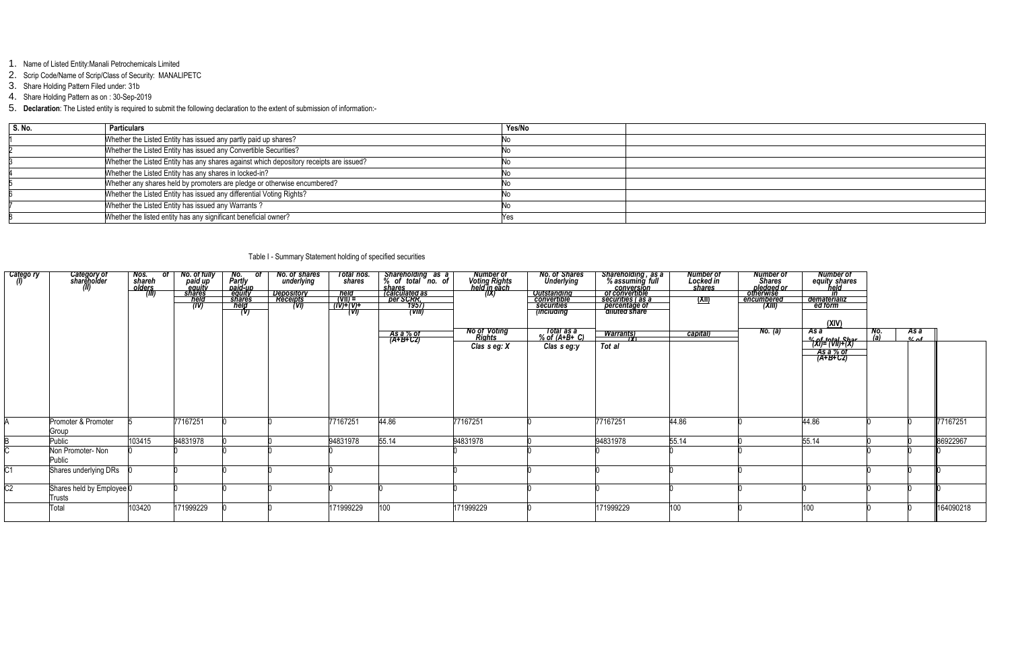- 1. Name of Listed Entity:Manali Petrochemicals Limited
- 2. Scrip Code/Name of Scrip/Class of Security: MANALIPETC
- 3. Share Holding Pattern Filed under: 31b
- 4. Share Holding Pattern as on : 30-Sep-2019
- 5. **Declaration**: The Listed entity is required to submit the following declaration to the extent of submission of information:-

| S. No. | <b>Particulars</b>                                                                     | Yes/No |
|--------|----------------------------------------------------------------------------------------|--------|
|        | Whether the Listed Entity has issued any partly paid up shares?                        |        |
|        | Whether the Listed Entity has issued any Convertible Securities?                       |        |
|        | Whether the Listed Entity has any shares against which depository receipts are issued? |        |
|        | Whether the Listed Entity has any shares in locked-in?                                 |        |
|        | Whether any shares held by promoters are pledge or otherwise encumbered?               |        |
|        | Whether the Listed Entity has issued any differential Voting Rights?                   |        |
|        | Whether the Listed Entity has issued any Warrants?                                     |        |
|        | Whether the listed entity has any significant beneficial owner?                        | Y es   |

Table I - Summary Statement holding of specified securities

### *Nos. of shareh olders No. of fully paid up equity No. of Partly paid-up No. of shares underlying Total nos. shares Shareholding as a % of total no. of shares Number of Voting Rights held in each class of*

| Catego ry | Category of<br>shareholder<br>(II)  | Nos.<br>shareh<br>olders.<br>$\overline{ot}$ | No. of fully<br>paid up<br>equity<br>shares<br>held<br>(IV) | ot.<br>No.<br>Partly<br>paid-up<br>equity<br><b>shares</b><br><b>held</b> | <b>No. of shares<br/>underlying</b><br><u>Depository</u><br>Recei <u>pts</u><br>(V) | Total nos.<br>shares<br>held<br>(VII) =<br>$(IV)+(V)+$<br>(VI) | Shareholding as a<br>% of total no. of<br><i>Shares</i><br><u>Calculated as<br/> per SCRR,</u><br>(VIII) | Number of<br>Voting Rights<br>held jn each<br>(IX) | <b>No. of Shares</b><br>Underlying<br><u>Outstanding<br/>convertible<br/>securities</u><br>(including | Shareholding , as a<br>% assuming full<br><b>Conversion</b><br><b>Convertible</b><br><b>Securities (as a<br/> percentage of<br/> diluted share</b> | Number of<br>Locked in<br>shares<br><u>(XII)</u> | <b>Number of<br/>Shares<br/><u>pledged or<br/>otherwise</u></b><br>encumbered<br>(XIII) | <b>Number of</b><br>equity shares<br>in<br><u>dematerializ</u><br>ed form<br>(XIV)           |            |                  |           |
|-----------|-------------------------------------|----------------------------------------------|-------------------------------------------------------------|---------------------------------------------------------------------------|-------------------------------------------------------------------------------------|----------------------------------------------------------------|----------------------------------------------------------------------------------------------------------|----------------------------------------------------|-------------------------------------------------------------------------------------------------------|----------------------------------------------------------------------------------------------------------------------------------------------------|--------------------------------------------------|-----------------------------------------------------------------------------------------|----------------------------------------------------------------------------------------------|------------|------------------|-----------|
|           |                                     |                                              |                                                             |                                                                           |                                                                                     |                                                                |                                                                                                          | No of Voting<br>Rights<br>Clas $s$ eg: $X$         | Total as a<br>% of (A+B+ C)<br>Clas s eg:y                                                            | <u> Warrants)</u><br>Tot al                                                                                                                        | capital)                                         | No. (a)                                                                                 | As a<br><del>~{\display}{</del> \me \frac{\math{\sigmail<br><del>As à % of</del><br>(A+B+C2) | No.<br>(a) | As a<br>$0/2$ of |           |
|           | Promoter & Promoter<br>Group        |                                              | 77167251                                                    |                                                                           |                                                                                     | 77167251                                                       | 44.86                                                                                                    | 77167251                                           |                                                                                                       | 77167251                                                                                                                                           | 44.86                                            |                                                                                         | 44.86                                                                                        |            |                  | 77167251  |
|           | Public                              | 103415                                       | 94831978                                                    |                                                                           |                                                                                     | 94831978                                                       | 55.14                                                                                                    | 94831978                                           |                                                                                                       | 94831978                                                                                                                                           | 55.14                                            |                                                                                         | 55.14                                                                                        |            |                  | 86922967  |
|           | Non Promoter- Non<br>Public         |                                              |                                                             |                                                                           |                                                                                     |                                                                |                                                                                                          |                                                    |                                                                                                       |                                                                                                                                                    |                                                  |                                                                                         |                                                                                              |            |                  |           |
|           | Shares underlying DRs               |                                              |                                                             |                                                                           |                                                                                     |                                                                |                                                                                                          |                                                    |                                                                                                       |                                                                                                                                                    |                                                  |                                                                                         |                                                                                              |            |                  |           |
|           | Shares held by Employee 0<br>Trusts |                                              |                                                             |                                                                           |                                                                                     |                                                                |                                                                                                          |                                                    |                                                                                                       |                                                                                                                                                    |                                                  |                                                                                         |                                                                                              |            |                  |           |
|           | Total                               | 103420                                       | 171999229                                                   |                                                                           |                                                                                     | 171999229                                                      | 00                                                                                                       | 171999229                                          |                                                                                                       | 171999229                                                                                                                                          | 100                                              |                                                                                         | 100                                                                                          |            |                  | 164090218 |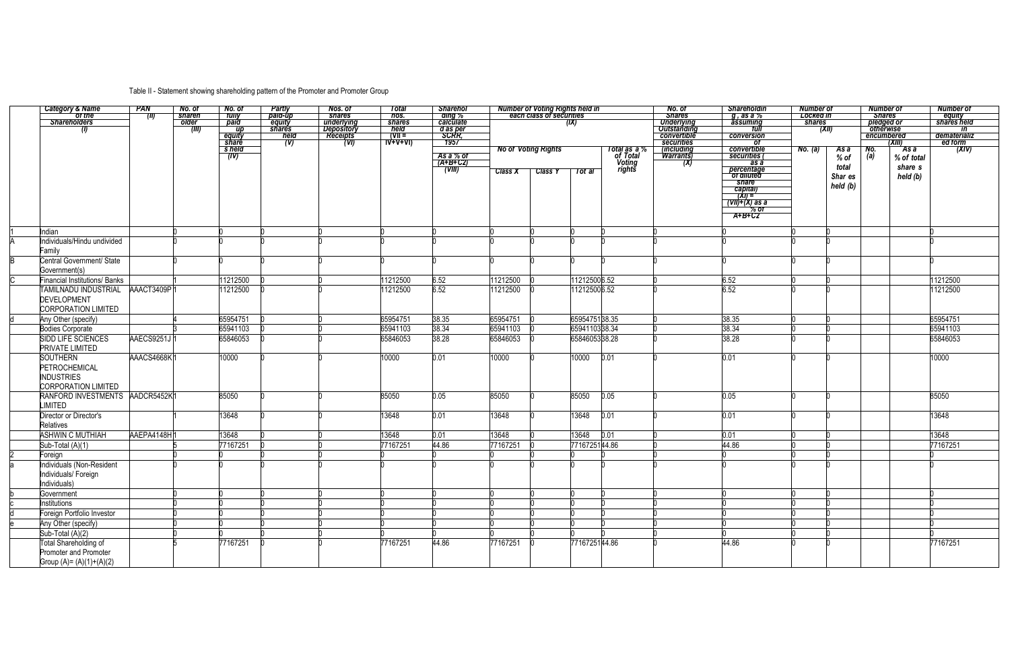# Table II - Statement showing shareholding pattern of the Promoter and Promoter Group

|                                           | <b>PAN</b>  | No. of          | No. of                 | <b>Partly</b>           | Nos. of                                     | Total                      | <b>Sharehol</b>           |                | Number of Voting Rights held in<br>each class of securities |               |                          | No. of                                  | <b>Shareholdin</b>          | <b>Number of</b> |          | <b>Number of</b>               |            | <b>Number of</b>             |
|-------------------------------------------|-------------|-----------------|------------------------|-------------------------|---------------------------------------------|----------------------------|---------------------------|----------------|-------------------------------------------------------------|---------------|--------------------------|-----------------------------------------|-----------------------------|------------------|----------|--------------------------------|------------|------------------------------|
| Category & Name<br>of the<br>Shareholders | (II)        | shareh<br>older | tully                  | paid-up                 | shares                                      | nos.                       | ding %<br>calculate       |                |                                                             |               |                          | <b>Shares</b>                           | q, as a %                   | Locked in        |          | <b>Shares</b>                  |            | equity<br>shares held        |
|                                           |             |                 | paid<br>$\overline{u}$ | equity<br><b>shares</b> | <u>underlying</u><br>Depository<br>Receipts | shares<br>held             |                           |                |                                                             | (IX)          |                          | <b>Underlying</b><br><b>Outstanding</b> | assuming<br>tull            | shares           |          | <i>pledged or</i><br>otherwise |            | <i>in</i>                    |
|                                           |             | (III)           |                        | held                    |                                             | $\overline{ \mathbf{V}  }$ | d as per<br>SCRR,         |                |                                                             |               |                          | convertible                             | conversion                  |                  | (XII)    | encumbered                     |            | dematerializ                 |
|                                           |             |                 | <u>equity</u><br>Share | (V)                     | (VI)                                        | $\overrightarrow{W+V+V}$   | 1957                      |                |                                                             |               |                          | securities                              | 0t                          |                  |          |                                | (XIII)     |                              |
|                                           |             |                 | s held                 |                         |                                             |                            | As a % of                 |                | <b>No of Voting Rights</b>                                  |               | Total as a %<br>of Total | (including                              | convertible<br>securities ( | No. (a)          | As a     | No.<br>(a)                     | As a       | $\frac{1}{\sqrt{2}}$ ed form |
|                                           |             |                 | T(V)                   |                         |                                             |                            | $\overrightarrow{A+B+CZ}$ |                |                                                             |               |                          | (X)                                     | as a                        |                  | % of     |                                | % of total |                              |
|                                           |             |                 |                        |                         |                                             |                            | (VIII)                    | <b>Class X</b> | <b>Class Y</b>                                              | Tot al        | Voting<br>rights         |                                         | percentage<br>of diluted    |                  | total    |                                | share s    |                              |
|                                           |             |                 |                        |                         |                                             |                            |                           |                |                                                             |               |                          |                                         |                             |                  | Shar es  |                                | held (b)   |                              |
|                                           |             |                 |                        |                         |                                             |                            |                           |                |                                                             |               |                          |                                         | share<br>capital)           |                  | held (b) |                                |            |                              |
|                                           |             |                 |                        |                         |                                             |                            |                           |                |                                                             |               |                          |                                         | $\frac{1}{2}$ $\frac{1}{2}$ |                  |          |                                |            |                              |
|                                           |             |                 |                        |                         |                                             |                            |                           |                |                                                             |               |                          |                                         | $\overline{(VII)+X}$ as a   |                  |          |                                |            |                              |
|                                           |             |                 |                        |                         |                                             |                            |                           |                |                                                             |               |                          |                                         | % of<br>A+B+C2              |                  |          |                                |            |                              |
|                                           |             |                 |                        |                         |                                             |                            |                           |                |                                                             |               |                          |                                         |                             |                  |          |                                |            |                              |
| Indian                                    |             |                 |                        |                         |                                             |                            |                           |                |                                                             |               |                          |                                         |                             |                  |          |                                |            |                              |
| Individuals/Hindu undivided               |             |                 |                        |                         |                                             |                            |                           |                |                                                             |               |                          |                                         |                             |                  |          |                                |            |                              |
| Family                                    |             |                 |                        |                         |                                             |                            |                           |                |                                                             |               |                          |                                         |                             |                  |          |                                |            |                              |
| Central Government/ State                 |             |                 |                        |                         |                                             |                            |                           |                |                                                             |               |                          |                                         |                             |                  |          |                                |            |                              |
| Government(s)                             |             |                 |                        |                         |                                             |                            |                           |                |                                                             |               |                          |                                         |                             |                  |          |                                |            |                              |
| <b>Financial Institutions/ Banks</b>      |             |                 | 11212500               |                         |                                             | 11212500                   | 6.52                      | 11212500       |                                                             | 12125006.52   |                          |                                         | 6.52                        |                  |          |                                |            | 11212500                     |
| TAMILNADU INDUSTRIAL                      | AAACT3409P1 |                 | 11212500               |                         |                                             | 11212500                   | 6.52                      | 11212500       |                                                             | 12125006.52   |                          |                                         | 6.52                        |                  |          |                                |            | 11212500                     |
| <b>DEVELOPMENT</b>                        |             |                 |                        |                         |                                             |                            |                           |                |                                                             |               |                          |                                         |                             |                  |          |                                |            |                              |
| <b>CORPORATION LIMITED</b>                |             |                 |                        |                         |                                             |                            |                           |                |                                                             |               |                          |                                         |                             |                  |          |                                |            |                              |
| Any Other (specify)                       |             |                 | 65954751               |                         |                                             | 65954751                   | 38.35                     | 65954751       |                                                             | 6595475138.35 |                          |                                         | 38.35                       |                  |          |                                |            | 65954751                     |
| <b>Bodies Corporate</b>                   |             |                 | 65941103               |                         |                                             | 65941103                   | 38.34                     | 65941103       |                                                             | 6594110338.34 |                          |                                         | 38.34                       |                  |          |                                |            | 65941103                     |
| SIDD LIFE SCIENCES                        | AAECS9251J  |                 | 65846053               |                         |                                             | 65846053                   | 38.28                     | 65846053       |                                                             | 6584605338.28 |                          |                                         | 38.28                       |                  |          |                                |            | 65846053                     |
| <b>PRIVATE LIMITED</b>                    |             |                 |                        |                         |                                             |                            |                           |                |                                                             |               |                          |                                         |                             |                  |          |                                |            |                              |
| <b>SOUTHERN</b>                           | AAACS4668K1 |                 | 10000                  |                         |                                             | 10000                      | 0.01                      | 10000          |                                                             | 10000         | 0.01                     |                                         | 0.01                        |                  |          |                                |            | 10000                        |
| PETROCHEMICAL                             |             |                 |                        |                         |                                             |                            |                           |                |                                                             |               |                          |                                         |                             |                  |          |                                |            |                              |
|                                           |             |                 |                        |                         |                                             |                            |                           |                |                                                             |               |                          |                                         |                             |                  |          |                                |            |                              |
| <b>INDUSTRIES</b>                         |             |                 |                        |                         |                                             |                            |                           |                |                                                             |               |                          |                                         |                             |                  |          |                                |            |                              |
| <b>CORPORATION LIMITED</b>                |             |                 |                        |                         |                                             |                            |                           |                |                                                             |               |                          |                                         |                             |                  |          |                                |            |                              |
| RANFORD INVESTMENTS AADCR5452K1           |             |                 | 85050                  |                         |                                             | 85050                      | 0.05                      | 85050          |                                                             | 85050         | 0.05                     |                                         | 0.05                        |                  |          |                                |            | 85050                        |
| <b>LIMITED</b>                            |             |                 |                        |                         |                                             |                            |                           |                |                                                             |               |                          |                                         |                             |                  |          |                                |            |                              |
| Director or Director's                    |             |                 | 13648                  |                         |                                             | 13648                      | 0.01                      | 13648          |                                                             | 13648         | 0.01                     |                                         | 0.01                        |                  |          |                                |            | 13648                        |
| Relatives                                 |             |                 |                        |                         |                                             |                            |                           |                |                                                             |               |                          |                                         |                             |                  |          |                                |            |                              |
| <b>ASHWIN C MUTHIAH</b>                   | AAEPA4148H1 |                 | 13648                  |                         |                                             | 13648                      | 0.01                      | 13648          |                                                             | 13648         | 0.01                     |                                         | 0.01                        |                  |          |                                |            | 13648                        |
| Sub-Total (A)(1)                          |             |                 | 77167251               |                         |                                             | 77167251                   | 44.86                     | 77167251       |                                                             | 7716725144.86 |                          |                                         | 44.86                       |                  |          |                                |            | 77167251                     |
| Foreign                                   |             |                 |                        |                         |                                             |                            |                           |                |                                                             |               |                          |                                         |                             |                  |          |                                |            |                              |
| Individuals (Non-Resident                 |             |                 |                        |                         |                                             |                            |                           |                |                                                             |               |                          |                                         |                             |                  |          |                                |            |                              |
| Individuals/ Foreign                      |             |                 |                        |                         |                                             |                            |                           |                |                                                             |               |                          |                                         |                             |                  |          |                                |            |                              |
| Individuals)                              |             |                 |                        |                         |                                             |                            |                           |                |                                                             |               |                          |                                         |                             |                  |          |                                |            |                              |
| Government                                |             |                 |                        |                         |                                             |                            |                           |                |                                                             |               |                          |                                         |                             |                  |          |                                |            |                              |
| Institutions                              |             |                 |                        |                         |                                             |                            |                           |                |                                                             |               |                          |                                         |                             |                  |          |                                |            |                              |
| Foreign Portfolio Investor                |             |                 |                        |                         |                                             |                            |                           |                |                                                             |               |                          |                                         |                             |                  |          |                                |            |                              |
| Any Other (specify)                       |             |                 |                        |                         |                                             |                            |                           |                |                                                             |               |                          |                                         |                             |                  |          |                                |            |                              |
| Sub-Total (A)(2)                          |             |                 |                        |                         |                                             |                            |                           |                |                                                             |               |                          |                                         |                             |                  |          |                                |            |                              |
| Total Shareholding of                     |             |                 | 77167251               |                         |                                             | 77167251                   | 44.86                     | 77167251       |                                                             | 7716725144.86 |                          |                                         | 44.86                       |                  |          |                                |            | 77167251                     |
| Promoter and Promoter                     |             |                 |                        |                         |                                             |                            |                           |                |                                                             |               |                          |                                         |                             |                  |          |                                |            |                              |
| Group $(A) = (A)(1)+(A)(2)$               |             |                 |                        |                         |                                             |                            |                           |                |                                                             |               |                          |                                         |                             |                  |          |                                |            |                              |
|                                           |             |                 |                        |                         |                                             |                            |                           |                |                                                             |               |                          |                                         |                             |                  |          |                                |            |                              |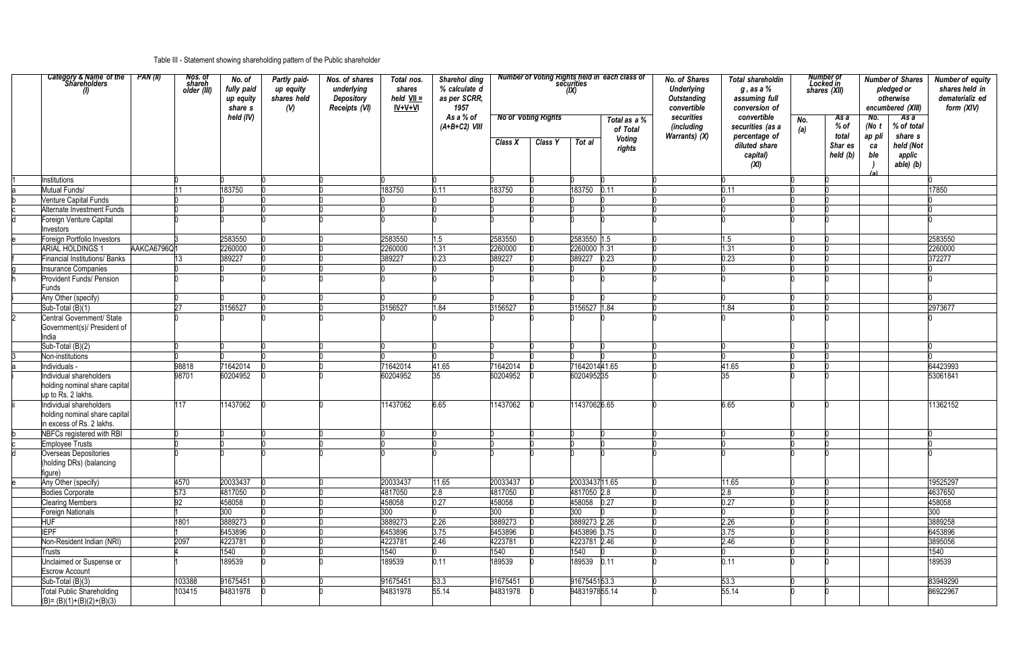## Table III - Statement showing shareholding pattern of the Public shareholder

| Category & Name of the<br>Shareholders                                                | PAN (II)    | Nos. of<br>shareh<br>older (III) | No. of<br>fully paid<br>up equity<br>share s | Partly paid-<br>up equity<br>shares held<br>(V) | Nos. of shares<br>underlying<br>Depository<br>Receipts (VI) | Total nos.<br>shares<br>$held$ VII =<br>$IV+V+VI$ | Sharehol ding<br>% calculate d<br>as per SCRR,<br>1957 |                |                                       | (IX)           | <b>Number of Voting Rights held in each class of<br/>securities</b> | <b>No. of Shares</b><br><b>Underlying</b><br>Outstanding<br>convertible | <b>Total shareholdin</b><br>$g$ , as a $\%$<br>assuming full<br>conversion of         |            | Number of<br>Locked in<br>shares (XII)       | <b>Number of Shares</b><br>pledged or<br>otherwise<br>encumbered (XIII)                                                                   | <b>Number of equity</b><br>shares held in<br>dematerializ ed<br>form (XIV) |
|---------------------------------------------------------------------------------------|-------------|----------------------------------|----------------------------------------------|-------------------------------------------------|-------------------------------------------------------------|---------------------------------------------------|--------------------------------------------------------|----------------|---------------------------------------|----------------|---------------------------------------------------------------------|-------------------------------------------------------------------------|---------------------------------------------------------------------------------------|------------|----------------------------------------------|-------------------------------------------------------------------------------------------------------------------------------------------|----------------------------------------------------------------------------|
|                                                                                       |             |                                  | held (IV)                                    |                                                 |                                                             |                                                   | As a % of<br>$(A+B+C2)$ VIII                           | Class X        | <b>No of Voting Rights</b><br>Class Y | Tot al         | Total as a %<br>of Total<br><b>Voting</b><br>rights                 | securities<br>(including<br>Warrants) (X)                               | convertible<br>securities (as a<br>percentage of<br>diluted share<br>capital)<br>(XI) | No.<br>(a) | As a<br>% of<br>total<br>Shar es<br>held (b) | No.<br>As a<br>% of total<br>(No $t$<br>share s<br>ap pli<br>held (Not<br>ca<br>ble<br>applic<br>able) (b)<br>$\left( \mathbf{a} \right)$ |                                                                            |
| Institutions                                                                          |             |                                  |                                              |                                                 |                                                             |                                                   |                                                        |                |                                       |                |                                                                     |                                                                         |                                                                                       |            |                                              |                                                                                                                                           |                                                                            |
| Mutual Funds/                                                                         |             |                                  | 183750                                       |                                                 |                                                             | 183750                                            | 0.11                                                   | 183750         |                                       | 183750         | 0.11                                                                |                                                                         | 0.11                                                                                  |            |                                              |                                                                                                                                           | 17850                                                                      |
| <b>Venture Capital Funds</b>                                                          |             |                                  |                                              |                                                 |                                                             |                                                   |                                                        |                |                                       |                |                                                                     |                                                                         |                                                                                       |            |                                              |                                                                                                                                           |                                                                            |
| Alternate Investment Funds                                                            |             |                                  |                                              |                                                 |                                                             |                                                   |                                                        |                |                                       |                |                                                                     |                                                                         |                                                                                       |            |                                              |                                                                                                                                           |                                                                            |
| Foreign Venture Capital<br>Investors                                                  |             |                                  |                                              |                                                 |                                                             |                                                   |                                                        |                |                                       |                |                                                                     |                                                                         |                                                                                       |            |                                              |                                                                                                                                           |                                                                            |
| Foreign Portfolio Investors                                                           |             |                                  | 2583550                                      |                                                 |                                                             | 2583550                                           | 1.5                                                    | 2583550        |                                       | 2583550 1.5    |                                                                     |                                                                         | 1.5                                                                                   |            |                                              |                                                                                                                                           | 2583550                                                                    |
| ARIAL HOLDINGS                                                                        | AAKCA6796Q1 |                                  | 2260000                                      |                                                 |                                                             | 2260000                                           | 1.31                                                   | 2260000        |                                       | 2260000 1.31   |                                                                     |                                                                         | 1.31                                                                                  |            |                                              |                                                                                                                                           | 2260000                                                                    |
| <b>Financial Institutions/ Banks</b>                                                  |             |                                  | 389227                                       |                                                 |                                                             | 389227                                            | 0.23                                                   | 389227         |                                       | 389227         | 0.23                                                                |                                                                         | 0.23                                                                                  |            |                                              |                                                                                                                                           | 372277                                                                     |
| <b>Insurance Companies</b>                                                            |             |                                  |                                              |                                                 |                                                             |                                                   |                                                        |                |                                       |                |                                                                     |                                                                         |                                                                                       |            |                                              |                                                                                                                                           |                                                                            |
| Provident Funds/ Pension<br>Funds                                                     |             |                                  |                                              |                                                 |                                                             |                                                   |                                                        |                |                                       |                |                                                                     |                                                                         |                                                                                       |            |                                              |                                                                                                                                           |                                                                            |
| Any Other (specify)                                                                   |             |                                  |                                              |                                                 |                                                             |                                                   |                                                        |                |                                       |                |                                                                     |                                                                         |                                                                                       |            |                                              |                                                                                                                                           |                                                                            |
| Sub-Total (B)(1)                                                                      |             |                                  | 3156527                                      |                                                 |                                                             | 3156527                                           | 1.84                                                   | 3156527        |                                       | 156527 1.84    |                                                                     |                                                                         | 1.84                                                                                  |            |                                              |                                                                                                                                           | 2973677                                                                    |
| Central Government/ State<br>Government(s)/ President of<br>India                     |             |                                  |                                              |                                                 |                                                             |                                                   |                                                        |                |                                       |                |                                                                     |                                                                         |                                                                                       |            |                                              |                                                                                                                                           |                                                                            |
| Sub-Total (B)(2)                                                                      |             |                                  |                                              |                                                 |                                                             |                                                   |                                                        |                |                                       |                |                                                                     |                                                                         |                                                                                       |            |                                              |                                                                                                                                           |                                                                            |
| Non-institutions                                                                      |             |                                  |                                              |                                                 |                                                             |                                                   |                                                        |                |                                       |                |                                                                     |                                                                         |                                                                                       |            |                                              |                                                                                                                                           |                                                                            |
| Individuals -                                                                         |             | 98818                            | 71642014                                     |                                                 |                                                             | 71642014                                          | 41.65                                                  | 71642014       |                                       | 7164201441.65  |                                                                     |                                                                         | 41.65                                                                                 |            |                                              |                                                                                                                                           | 64423993                                                                   |
| Individual shareholders<br>holding nominal share capital<br>up to Rs. 2 lakhs.        |             | 98701                            | 60204952                                     |                                                 |                                                             | 60204952                                          | 35                                                     | 60204952       |                                       | 6020495235     |                                                                     |                                                                         |                                                                                       |            |                                              |                                                                                                                                           | 53061841                                                                   |
| Individual shareholders<br>holding nominal share capital<br>in excess of Rs. 2 lakhs. |             | 117                              | 11437062                                     |                                                 |                                                             | 11437062                                          | 6.65                                                   | 11437062       |                                       | 114370626.65   |                                                                     |                                                                         | 6.65                                                                                  |            |                                              |                                                                                                                                           | 11362152                                                                   |
| NBFCs registered with RBI                                                             |             |                                  |                                              |                                                 |                                                             |                                                   |                                                        |                |                                       |                |                                                                     |                                                                         |                                                                                       |            |                                              |                                                                                                                                           |                                                                            |
| <b>Employee Trusts</b>                                                                |             |                                  |                                              |                                                 |                                                             |                                                   |                                                        |                |                                       |                |                                                                     |                                                                         |                                                                                       |            |                                              |                                                                                                                                           |                                                                            |
| Overseas Depositories<br>(holding DRs) (balancing<br>figure)                          |             |                                  |                                              |                                                 |                                                             |                                                   |                                                        |                |                                       |                |                                                                     |                                                                         |                                                                                       |            |                                              |                                                                                                                                           |                                                                            |
| Any Other (specify)                                                                   |             | 4570                             | 20033437                                     |                                                 |                                                             | 20033437                                          | 11.65                                                  | 20033437       |                                       | 2003343711.65  |                                                                     |                                                                         | 11.65                                                                                 |            |                                              |                                                                                                                                           | 19525297                                                                   |
| <b>Bodies Corporate</b>                                                               |             | 573                              | 4817050                                      |                                                 |                                                             | 4817050                                           | 2.8                                                    | 4817050        |                                       | 4817050 2.8    |                                                                     |                                                                         | 2.8                                                                                   |            |                                              |                                                                                                                                           | 4637650                                                                    |
| <b>Clearing Members</b>                                                               |             | 92                               | 458058                                       |                                                 |                                                             | 458058                                            | 0.27                                                   | 458058         |                                       | 458058         | 0.27                                                                |                                                                         | 0.27                                                                                  |            |                                              |                                                                                                                                           | 458058                                                                     |
| Foreign Nationals                                                                     |             |                                  | 300                                          |                                                 |                                                             | 300                                               |                                                        | 300            |                                       | 300            |                                                                     |                                                                         |                                                                                       |            |                                              |                                                                                                                                           | 300                                                                        |
| <b>HUF</b>                                                                            |             | 1801                             | 3889273                                      |                                                 |                                                             | 3889273                                           | 2.26                                                   | 3889273        |                                       | 3889273 2.26   |                                                                     |                                                                         | 2.26                                                                                  |            |                                              |                                                                                                                                           | 3889258                                                                    |
| <b>IEPF</b>                                                                           |             |                                  | 6453896                                      |                                                 |                                                             | 6453896                                           | 3.75                                                   | 6453896        |                                       | 6453896 3.75   |                                                                     |                                                                         | 3.75                                                                                  |            |                                              |                                                                                                                                           | 6453896                                                                    |
| Non-Resident Indian (NRI)                                                             |             | 2097                             | 4223781                                      |                                                 |                                                             | 4223781                                           | 2.46                                                   | 4223781        |                                       | 4223781 2.46   |                                                                     |                                                                         | 2.46                                                                                  |            |                                              |                                                                                                                                           | 3895056                                                                    |
| Trusts<br>Unclaimed or Suspense or                                                    |             |                                  | 1540<br>189539                               |                                                 |                                                             | 1540<br>189539                                    | 0.11                                                   | 1540<br>189539 |                                       | 1540<br>189539 | 0.11                                                                |                                                                         | 0.11                                                                                  |            |                                              |                                                                                                                                           | 1540<br>189539                                                             |
| <b>Escrow Account</b>                                                                 |             |                                  |                                              |                                                 |                                                             |                                                   |                                                        |                |                                       |                |                                                                     |                                                                         |                                                                                       |            |                                              |                                                                                                                                           |                                                                            |
| Sub-Total (B)(3)                                                                      |             | 103388                           | 91675451                                     |                                                 |                                                             | 91675451                                          | 53.3                                                   | 91675451       |                                       | 9167545153.3   |                                                                     |                                                                         | 53.3                                                                                  |            |                                              |                                                                                                                                           | 83949290                                                                   |
| <b>Total Public Shareholding</b><br>$(B)=(B)(1)+(B)(2)+(B)(3)$                        |             | 103415                           | 94831978                                     |                                                 |                                                             | 94831978                                          | 55.14                                                  | 94831978       |                                       | 9483197855.14  |                                                                     |                                                                         | 55.14                                                                                 |            |                                              |                                                                                                                                           | 86922967                                                                   |